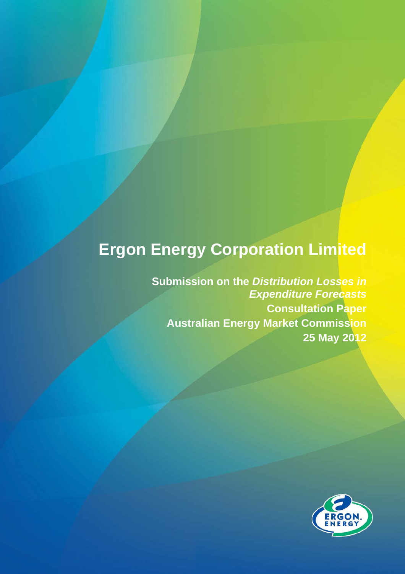## **Ergon Energy Corporation Limited**

**Submission on the** *Distribution Losses in Expenditure Forecasts*  **Consultation Paper Australian Energy Market Commission 25 May 2012** 

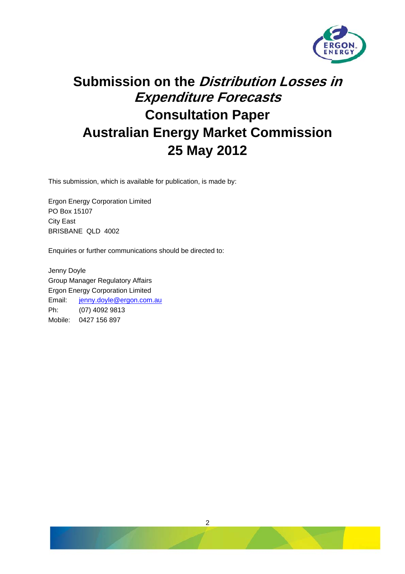

## **Submission on the Distribution Losses in Expenditure Forecasts Consultation Paper Australian Energy Market Commission 25 May 2012**

This submission, which is available for publication, is made by:

Ergon Energy Corporation Limited PO Box 15107 City East BRISBANE QLD 4002

Enquiries or further communications should be directed to:

Jenny Doyle Group Manager Regulatory Affairs Ergon Energy Corporation Limited Email: [jenny.doyle@ergon.com.au](mailto:jenny.doyle@ergon.com.au) Ph: (07) 4092 9813 Mobile: 0427 156 897

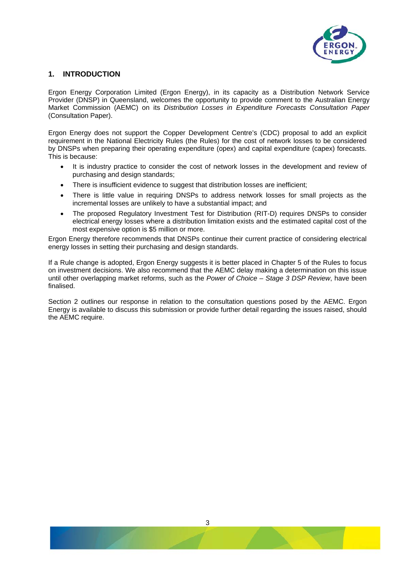

## **1. INTRODUCTION**

Ergon Energy Corporation Limited (Ergon Energy), in its capacity as a Distribution Network Service Provider (DNSP) in Queensland, welcomes the opportunity to provide comment to the Australian Energy Market Commission (AEMC) on its *Distribution Losses in Expenditure Forecasts Consultation Paper* (Consultation Paper).

Ergon Energy does not support the Copper Development Centre's (CDC) proposal to add an explicit requirement in the National Electricity Rules (the Rules) for the cost of network losses to be considered by DNSPs when preparing their operating expenditure (opex) and capital expenditure (capex) forecasts. This is because:

- It is industry practice to consider the cost of network losses in the development and review of purchasing and design standards;
- There is insufficient evidence to suggest that distribution losses are inefficient;
- There is little value in requiring DNSPs to address network losses for small projects as the incremental losses are unlikely to have a substantial impact; and
- The proposed Regulatory Investment Test for Distribution (RIT-D) requires DNSPs to consider electrical energy losses where a distribution limitation exists and the estimated capital cost of the most expensive option is \$5 million or more.

Ergon Energy therefore recommends that DNSPs continue their current practice of considering electrical energy losses in setting their purchasing and design standards.

If a Rule change is adopted, Ergon Energy suggests it is better placed in Chapter 5 of the Rules to focus on investment decisions. We also recommend that the AEMC delay making a determination on this issue until other overlapping market reforms, such as the *Power of Choice – Stage 3 DSP Review*, have been finalised.

Section 2 outlines our response in relation to the consultation questions posed by the AEMC. Ergon Energy is available to discuss this submission or provide further detail regarding the issues raised, should the AEMC require.

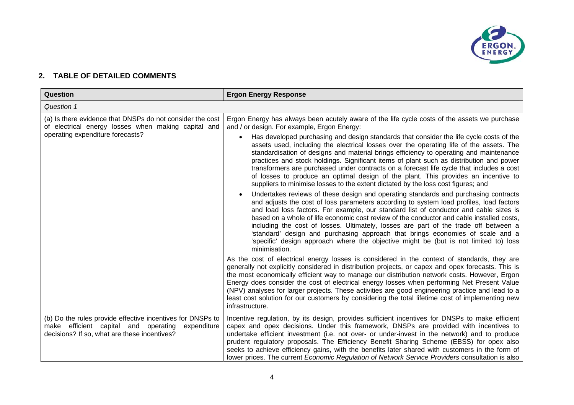

## **2. TABLE OF DETAILED COMMENTS**

| Question                                                                                                                                                       | <b>Ergon Energy Response</b>                                                                                                                                                                                                                                                                                                                                                                                                                                                                                                                                                                                                                            |
|----------------------------------------------------------------------------------------------------------------------------------------------------------------|---------------------------------------------------------------------------------------------------------------------------------------------------------------------------------------------------------------------------------------------------------------------------------------------------------------------------------------------------------------------------------------------------------------------------------------------------------------------------------------------------------------------------------------------------------------------------------------------------------------------------------------------------------|
| Question 1                                                                                                                                                     |                                                                                                                                                                                                                                                                                                                                                                                                                                                                                                                                                                                                                                                         |
| (a) Is there evidence that DNSPs do not consider the cost<br>of electrical energy losses when making capital and<br>operating expenditure forecasts?           | Ergon Energy has always been acutely aware of the life cycle costs of the assets we purchase<br>and / or design. For example, Ergon Energy:<br>Has developed purchasing and design standards that consider the life cycle costs of the                                                                                                                                                                                                                                                                                                                                                                                                                  |
|                                                                                                                                                                | assets used, including the electrical losses over the operating life of the assets. The<br>standardisation of designs and material brings efficiency to operating and maintenance<br>practices and stock holdings. Significant items of plant such as distribution and power<br>transformers are purchased under contracts on a forecast life cycle that includes a cost<br>of losses to produce an optimal design of the plant. This provides an incentive to<br>suppliers to minimise losses to the extent dictated by the loss cost figures; and                                                                                                     |
|                                                                                                                                                                | Undertakes reviews of these design and operating standards and purchasing contracts<br>and adjusts the cost of loss parameters according to system load profiles, load factors<br>and load loss factors. For example, our standard list of conductor and cable sizes is<br>based on a whole of life economic cost review of the conductor and cable installed costs,<br>including the cost of losses. Ultimately, losses are part of the trade off between a<br>'standard' design and purchasing approach that brings economies of scale and a<br>'specific' design approach where the objective might be (but is not limited to) loss<br>minimisation. |
|                                                                                                                                                                | As the cost of electrical energy losses is considered in the context of standards, they are<br>generally not explicitly considered in distribution projects, or capex and opex forecasts. This is<br>the most economically efficient way to manage our distribution network costs. However, Ergon<br>Energy does consider the cost of electrical energy losses when performing Net Present Value<br>(NPV) analyses for larger projects. These activities are good engineering practice and lead to a<br>least cost solution for our customers by considering the total lifetime cost of implementing new<br>infrastructure.                             |
| (b) Do the rules provide effective incentives for DNSPs to<br>make efficient capital and operating expenditure<br>decisions? If so, what are these incentives? | Incentive regulation, by its design, provides sufficient incentives for DNSPs to make efficient<br>capex and opex decisions. Under this framework, DNSPs are provided with incentives to<br>undertake efficient investment (i.e. not over- or under-invest in the network) and to produce<br>prudent regulatory proposals. The Efficiency Benefit Sharing Scheme (EBSS) for opex also<br>seeks to achieve efficiency gains, with the benefits later shared with customers in the form of<br>lower prices. The current <i>Economic Regulation of Network Service Providers</i> consultation is also                                                      |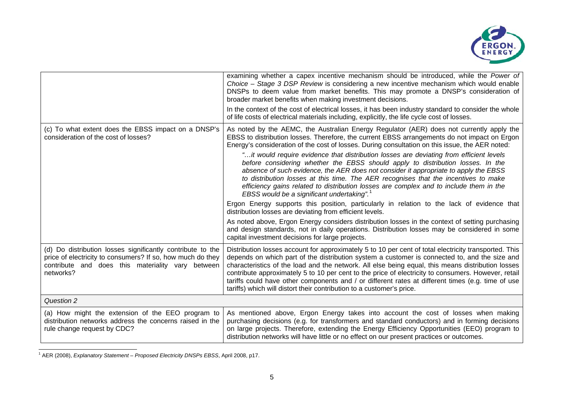

|                                                                                                                                                                                            | examining whether a capex incentive mechanism should be introduced, while the Power of<br>Choice - Stage 3 DSP Review is considering a new incentive mechanism which would enable<br>DNSPs to deem value from market benefits. This may promote a DNSP's consideration of<br>broader market benefits when making investment decisions.<br>In the context of the cost of electrical losses, it has been industry standard to consider the whole<br>of life costs of electrical materials including, explicitly, the life cycle cost of losses.                                                                                                                                                                                                                                                                                                                                                                                                                                                                                                                                                                                                                                                                     |
|--------------------------------------------------------------------------------------------------------------------------------------------------------------------------------------------|-------------------------------------------------------------------------------------------------------------------------------------------------------------------------------------------------------------------------------------------------------------------------------------------------------------------------------------------------------------------------------------------------------------------------------------------------------------------------------------------------------------------------------------------------------------------------------------------------------------------------------------------------------------------------------------------------------------------------------------------------------------------------------------------------------------------------------------------------------------------------------------------------------------------------------------------------------------------------------------------------------------------------------------------------------------------------------------------------------------------------------------------------------------------------------------------------------------------|
| (c) To what extent does the EBSS impact on a DNSP's<br>consideration of the cost of losses?                                                                                                | As noted by the AEMC, the Australian Energy Regulator (AER) does not currently apply the<br>EBSS to distribution losses. Therefore, the current EBSS arrangements do not impact on Ergon<br>Energy's consideration of the cost of losses. During consultation on this issue, the AER noted:<br>"it would require evidence that distribution losses are deviating from efficient levels"<br>before considering whether the EBSS should apply to distribution losses. In the<br>absence of such evidence, the AER does not consider it appropriate to apply the EBSS<br>to distribution losses at this time. The AER recognises that the incentives to make<br>efficiency gains related to distribution losses are complex and to include them in the<br>EBSS would be a significant undertaking".<br>Ergon Energy supports this position, particularly in relation to the lack of evidence that<br>distribution losses are deviating from efficient levels.<br>As noted above, Ergon Energy considers distribution losses in the context of setting purchasing<br>and design standards, not in daily operations. Distribution losses may be considered in some<br>capital investment decisions for large projects. |
| (d) Do distribution losses significantly contribute to the<br>price of electricity to consumers? If so, how much do they<br>contribute and does this materiality vary between<br>networks? | Distribution losses account for approximately 5 to 10 per cent of total electricity transported. This<br>depends on which part of the distribution system a customer is connected to, and the size and<br>characteristics of the load and the network. All else being equal, this means distribution losses<br>contribute approximately 5 to 10 per cent to the price of electricity to consumers. However, retail<br>tariffs could have other components and / or different rates at different times (e.g. time of use<br>tariffs) which will distort their contribution to a customer's price.                                                                                                                                                                                                                                                                                                                                                                                                                                                                                                                                                                                                                  |
| Question 2                                                                                                                                                                                 |                                                                                                                                                                                                                                                                                                                                                                                                                                                                                                                                                                                                                                                                                                                                                                                                                                                                                                                                                                                                                                                                                                                                                                                                                   |
| (a) How might the extension of the EEO program to<br>distribution networks address the concerns raised in the<br>rule change request by CDC?                                               | As mentioned above, Ergon Energy takes into account the cost of losses when making<br>purchasing decisions (e.g. for transformers and standard conductors) and in forming decisions<br>on large projects. Therefore, extending the Energy Efficiency Opportunities (EEO) program to<br>distribution networks will have little or no effect on our present practices or outcomes.                                                                                                                                                                                                                                                                                                                                                                                                                                                                                                                                                                                                                                                                                                                                                                                                                                  |

<span id="page-4-0"></span><sup>1</sup> AER (2008), *Explanatory Statement – Proposed Electricity DNSPs EBSS*, April 2008, p17.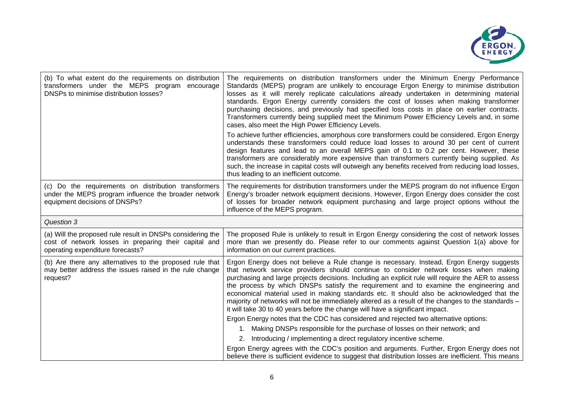

| (b) To what extent do the requirements on distribution<br>transformers under the MEPS program<br>encourage<br>DNSPs to minimise distribution losses?    | The requirements on distribution transformers under the Minimum Energy Performance<br>Standards (MEPS) program are unlikely to encourage Ergon Energy to minimise distribution<br>losses as it will merely replicate calculations already undertaken in determining material<br>standards. Ergon Energy currently considers the cost of losses when making transformer<br>purchasing decisions, and previously had specified loss costs in place on earlier contracts.<br>Transformers currently being supplied meet the Minimum Power Efficiency Levels and, in some<br>cases, also meet the High Power Efficiency Levels.<br>To achieve further efficiencies, amorphous core transformers could be considered. Ergon Energy<br>understands these transformers could reduce load losses to around 30 per cent of current<br>design features and lead to an overall MEPS gain of 0.1 to 0.2 per cent. However, these<br>transformers are considerably more expensive than transformers currently being supplied. As<br>such, the increase in capital costs will outweigh any benefits received from reducing load losses,<br>thus leading to an inefficient outcome. |
|---------------------------------------------------------------------------------------------------------------------------------------------------------|----------------------------------------------------------------------------------------------------------------------------------------------------------------------------------------------------------------------------------------------------------------------------------------------------------------------------------------------------------------------------------------------------------------------------------------------------------------------------------------------------------------------------------------------------------------------------------------------------------------------------------------------------------------------------------------------------------------------------------------------------------------------------------------------------------------------------------------------------------------------------------------------------------------------------------------------------------------------------------------------------------------------------------------------------------------------------------------------------------------------------------------------------------------------|
| (c) Do the requirements on distribution transformers<br>under the MEPS program influence the broader network<br>equipment decisions of DNSPs?           | The requirements for distribution transformers under the MEPS program do not influence Ergon<br>Energy's broader network equipment decisions. However, Ergon Energy does consider the cost<br>of losses for broader network equipment purchasing and large project options without the<br>influence of the MEPS program.                                                                                                                                                                                                                                                                                                                                                                                                                                                                                                                                                                                                                                                                                                                                                                                                                                             |
| Question 3                                                                                                                                              |                                                                                                                                                                                                                                                                                                                                                                                                                                                                                                                                                                                                                                                                                                                                                                                                                                                                                                                                                                                                                                                                                                                                                                      |
| (a) Will the proposed rule result in DNSPs considering the<br>cost of network losses in preparing their capital and<br>operating expenditure forecasts? | The proposed Rule is unlikely to result in Ergon Energy considering the cost of network losses<br>more than we presently do. Please refer to our comments against Question 1(a) above for<br>information on our current practices.                                                                                                                                                                                                                                                                                                                                                                                                                                                                                                                                                                                                                                                                                                                                                                                                                                                                                                                                   |
| (b) Are there any alternatives to the proposed rule that<br>may better address the issues raised in the rule change<br>request?                         | Ergon Energy does not believe a Rule change is necessary. Instead, Ergon Energy suggests<br>that network service providers should continue to consider network losses when making<br>purchasing and large projects decisions. Including an explicit rule will require the AER to assess<br>the process by which DNSPs satisfy the requirement and to examine the engineering and<br>economical material used in making standards etc. It should also be acknowledged that the<br>majority of networks will not be immediately altered as a result of the changes to the standards -<br>it will take 30 to 40 years before the change will have a significant impact.<br>Ergon Energy notes that the CDC has considered and rejected two alternative options:<br>1. Making DNSPs responsible for the purchase of losses on their network; and<br>2. Introducing / implementing a direct regulatory incentive scheme.                                                                                                                                                                                                                                                  |